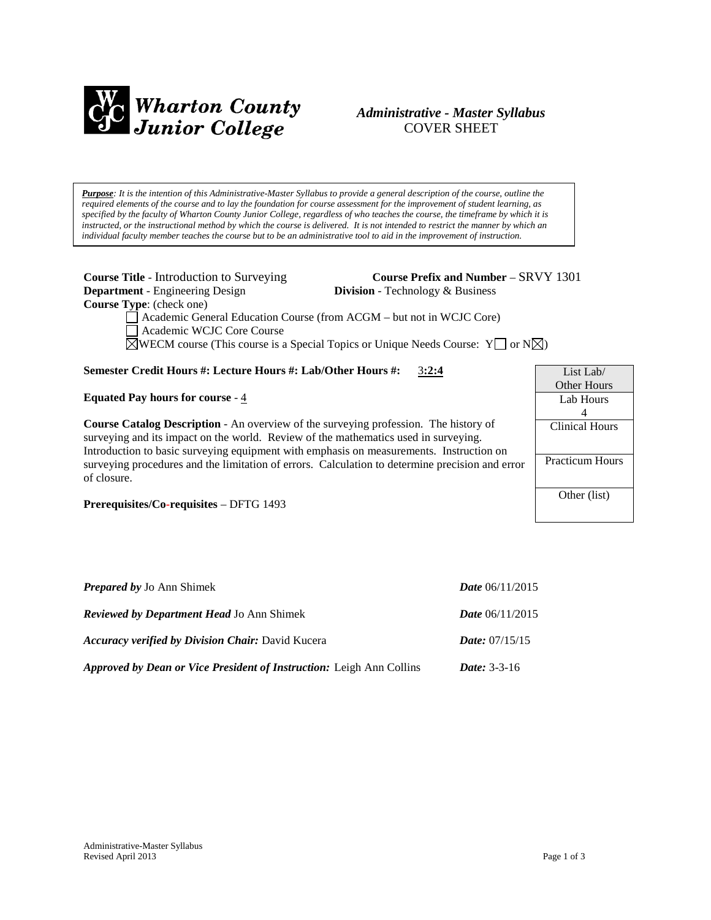

# *Administrative - Master Syllabus*  COVER SHEET

*Purpose: It is the intention of this Administrative-Master Syllabus to provide a general description of the course, outline the required elements of the course and to lay the foundation for course assessment for the improvement of student learning, as specified by the faculty of Wharton County Junior College, regardless of who teaches the course, the timeframe by which it is instructed, or the instructional method by which the course is delivered. It is not intended to restrict the manner by which an individual faculty member teaches the course but to be an administrative tool to aid in the improvement of instruction.*

**Department** - Engineering Design **Division** - Technology & Business **Course Type**: (check one)

**Course Title** - Introduction to Surveying **Course Prefix and Number** – SRVY 1301

Academic General Education Course (from ACGM – but not in WCJC Core) Academic WCJC Core Course  $\boxtimes$ WECM course (This course is a Special Topics or Unique Needs Course: Y  $\Box$  or N $\boxtimes$ )

## **Semester Credit Hours #: Lecture Hours #: Lab/Other Hours #:** 3**:2:4**

**Equated Pay hours for course** - 4

**Course Catalog Description** - An overview of the surveying profession. The history of surveying and its impact on the world. Review of the mathematics used in surveying. Introduction to basic surveying equipment with emphasis on measurements. Instruction on surveying procedures and the limitation of errors. Calculation to determine precision and error of closure.

**Prerequisites/Co-requisites** – DFTG 1493

| <b>Prepared by Jo Ann Shimek</b>                                            | <b>Date</b> $06/11/2015$ |
|-----------------------------------------------------------------------------|--------------------------|
| <b>Reviewed by Department Head Jo Ann Shimek</b>                            | <i>Date</i> $06/11/2015$ |
| <b>Accuracy verified by Division Chair: David Kucera</b>                    | <i>Date:</i> $07/15/15$  |
| <b>Approved by Dean or Vice President of Instruction:</b> Leigh Ann Collins | <i>Date:</i> $3-3-16$    |

List Lab/ Other Hours Lab Hours 4 Clinical Hours

Practicum Hours

Other (list)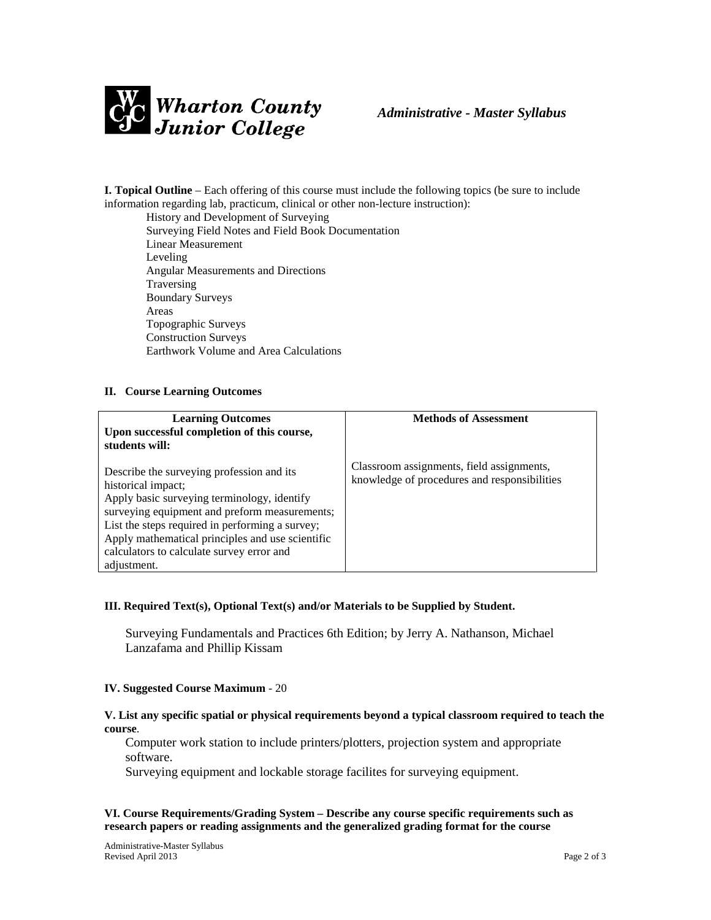

**I. Topical Outline** – Each offering of this course must include the following topics (be sure to include information regarding lab, practicum, clinical or other non-lecture instruction):

History and Development of Surveying Surveying Field Notes and Field Book Documentation Linear Measurement Leveling Angular Measurements and Directions Traversing Boundary Surveys Areas Topographic Surveys Construction Surveys Earthwork Volume and Area Calculations

#### **II. Course Learning Outcomes**

| <b>Learning Outcomes</b><br>Upon successful completion of this course,<br>students will:                                                                                                                                                                                                                                           | <b>Methods of Assessment</b>                                                              |
|------------------------------------------------------------------------------------------------------------------------------------------------------------------------------------------------------------------------------------------------------------------------------------------------------------------------------------|-------------------------------------------------------------------------------------------|
| Describe the surveying profession and its<br>historical impact;<br>Apply basic surveying terminology, identify<br>surveying equipment and preform measurements;<br>List the steps required in performing a survey;<br>Apply mathematical principles and use scientific<br>calculators to calculate survey error and<br>adjustment. | Classroom assignments, field assignments,<br>knowledge of procedures and responsibilities |

## **III. Required Text(s), Optional Text(s) and/or Materials to be Supplied by Student.**

Surveying Fundamentals and Practices 6th Edition; by Jerry A. Nathanson, Michael Lanzafama and Phillip Kissam

#### **IV. Suggested Course Maximum** - 20

### **V. List any specific spatial or physical requirements beyond a typical classroom required to teach the course**.

Computer work station to include printers/plotters, projection system and appropriate software.

Surveying equipment and lockable storage facilites for surveying equipment.

## **VI. Course Requirements/Grading System – Describe any course specific requirements such as research papers or reading assignments and the generalized grading format for the course**